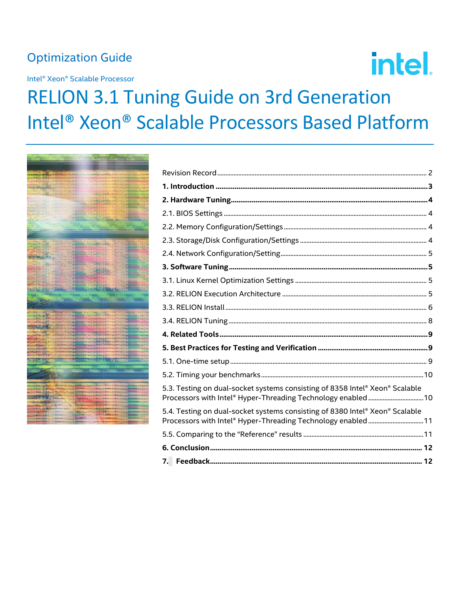# **Optimization Guide**

Intel® Xeon® Scalable Processor

# intel.

# **RELION 3.1 Tuning Guide on 3rd Generation** Intel<sup>®</sup> Xeon® Scalable Processors Based Platform



| 5.3. Testing on dual-socket systems consisting of 8358 Intel® Xeon® Scalable<br>Processors with Intel® Hyper-Threading Technology enabled10  |  |
|----------------------------------------------------------------------------------------------------------------------------------------------|--|
| 5.4. Testing on dual-socket systems consisting of 8380 Intel® Xeon® Scalable<br>Processors with Intel® Hyper-Threading Technology enabled 11 |  |
|                                                                                                                                              |  |
|                                                                                                                                              |  |
|                                                                                                                                              |  |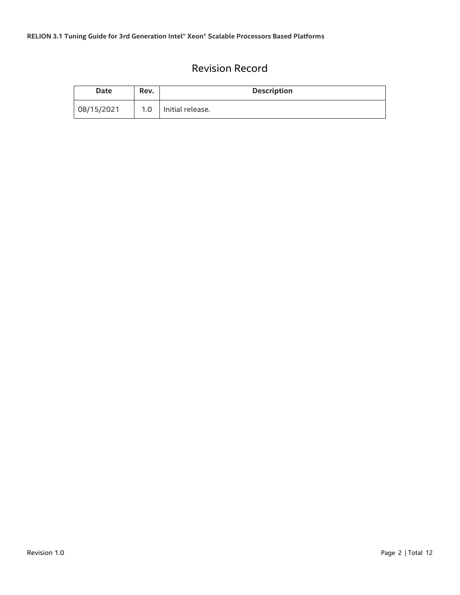# Revision Record

<span id="page-1-0"></span>

| <b>Date</b> | Rev. | <b>Description</b> |  |
|-------------|------|--------------------|--|
| 08/15/2021  | 1.0  | Initial release.   |  |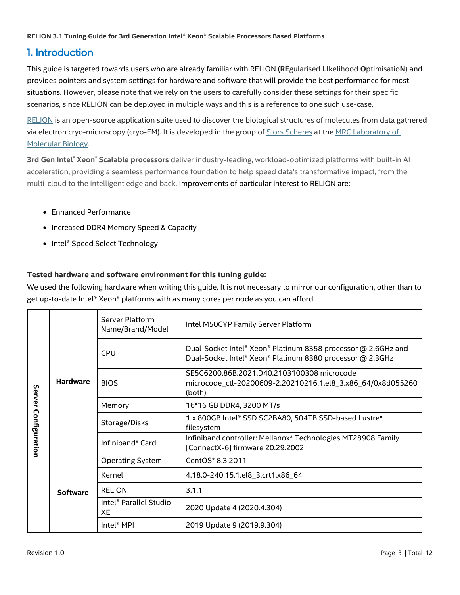# <span id="page-2-0"></span>1. Introduction

This guide is targeted towards users who are already familiar with RELION (**RE**gularised **LI**kelihood **O**ptimisatio**N**) and provides pointers and system settings for hardware and software that will provide the best performance for most situations. However, please note that we rely on the users to carefully consider these settings for their specific scenarios, since RELION can be deployed in multiple ways and this is a reference to one such use-case.

[RELION](https://www3.mrc-lmb.cam.ac.uk/relion/index.php/Main_Page) is an open-source application suite used to discover the biological structures of molecules from data gathered via electron cryo-microscopy (cryo-EM). It is developed in the group of [Sjors Scheres](http://www2.mrc-lmb.cam.ac.uk/groups/scheres/) at th[e MRC Laboratory of](http://www2.mrc-lmb.cam.ac.uk/)  [Molecular Biology.](http://www2.mrc-lmb.cam.ac.uk/)

**3rd Gen Intel**® **Xeon**® **Scalable processors** deliver industry-leading, workload-optimized platforms with built-in AI acceleration, providing a seamless performance foundation to help speed data's transformative impact, from the multi-cloud to the intelligent edge and back. Improvements of particular interest to RELION are:

- Enhanced Performance
- Increased DDR4 Memory Speed & Capacity
- Intel<sup>®</sup> Speed Select Technology

#### **Tested hardware and software environment for this tuning guide:**

We used the following hardware when writing this guide. It is not necessary to mirror our configuration, other than to get up-to-date Intel® Xeon® platforms with as many cores per node as you can afford.

| Server<br>Configuration | <b>Hardware</b> | Server Platform<br>Name/Brand/Model             | Intel M50CYP Family Server Platform                                                                                        |
|-------------------------|-----------------|-------------------------------------------------|----------------------------------------------------------------------------------------------------------------------------|
|                         |                 | <b>CPU</b>                                      | Dual-Socket Intel® Xeon® Platinum 8358 processor @ 2.6GHz and<br>Dual-Socket Intel® Xeon® Platinum 8380 processor @ 2.3GHz |
|                         |                 | <b>BIOS</b>                                     | SE5C6200.86B.2021.D40.2103100308 microcode<br>microcode_ctl-20200609-2.20210216.1.el8_3.x86_64/0x8d055260<br>(both)        |
|                         |                 | Memory                                          | 16*16 GB DDR4, 3200 MT/s                                                                                                   |
|                         |                 | Storage/Disks                                   | 1 x 800GB Intel® SSD SC2BA80, 504TB SSD-based Lustre*<br>filesystem                                                        |
|                         |                 | Infiniband* Card                                | Infiniband controller: Mellanox* Technologies MT28908 Family<br>[ConnectX-6] firmware 20.29.2002                           |
|                         | <b>Software</b> | <b>Operating System</b>                         | CentOS* 8.3.2011                                                                                                           |
|                         |                 | Kernel                                          | 4.18.0-240.15.1.el8_3.crt1.x86_64                                                                                          |
|                         |                 | <b>RELION</b>                                   | 3.1.1                                                                                                                      |
|                         |                 | Intel <sup>®</sup> Parallel Studio<br><b>XF</b> | 2020 Update 4 (2020.4.304)                                                                                                 |
|                         |                 | Intel <sup>®</sup> MPI                          | 2019 Update 9 (2019.9.304)                                                                                                 |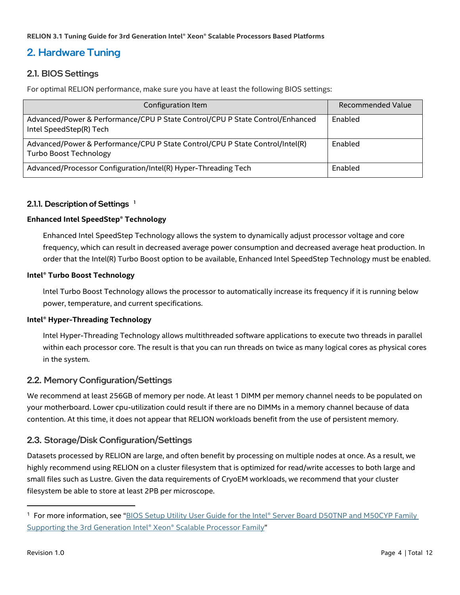# <span id="page-3-0"></span>2. Hardware Tuning

#### <span id="page-3-1"></span>2.1. BIOS Settings

For optimal RELION performance, make sure you have at least the following BIOS settings:

| Configuration Item                                                                                             | Recommended Value |
|----------------------------------------------------------------------------------------------------------------|-------------------|
| Advanced/Power & Performance/CPU P State Control/CPU P State Control/Enhanced<br>Intel SpeedStep(R) Tech       | Enabled           |
| Advanced/Power & Performance/CPU P State Control/CPU P State Control/Intel(R)<br><b>Turbo Boost Technology</b> | Enabled           |
| Advanced/Processor Configuration/Intel(R) Hyper-Threading Tech                                                 | Enabled           |

#### 2.1.1. Description of Settings  $<sup>1</sup>$ </sup>

#### **Enhanced Intel SpeedStep® Technology**

Enhanced Intel SpeedStep Technology allows the system to dynamically adjust processor voltage and core frequency, which can result in decreased average power consumption and decreased average heat production. In order that the Intel(R) Turbo Boost option to be available, Enhanced Intel SpeedStep Technology must be enabled.

#### **Intel® Turbo Boost Technology**

lntel Turbo Boost Technology allows the processor to automatically increase its frequency if it is running below power, temperature, and current specifications.

#### **Intel® Hyper-Threading Technology**

Intel Hyper-Threading Technology allows multithreaded software applications to execute two threads in parallel within each processor core. The result is that you can run threads on twice as many logical cores as physical cores in the system.

#### <span id="page-3-2"></span>2.2. Memory Configuration/Settings

We recommend at least 256GB of memory per node. At least 1 DIMM per memory channel needs to be populated on your motherboard. Lower cpu-utilization could result if there are no DIMMs in a memory channel because of data contention. At this time, it does not appear that RELION workloads benefit from the use of persistent memory.

#### <span id="page-3-3"></span>2.3. Storage/Disk Configuration/Settings

Datasets processed by RELION are large, and often benefit by processing on multiple nodes at once. As a result, we highly recommend using RELION on a cluster filesystem that is optimized for read/write accesses to both large and small files such as Lustre. Given the data requirements of CryoEM workloads, we recommend that your cluster filesystem be able to store at least 2PB per microscope.

<sup>&</sup>lt;sup>1</sup> For more information, see "BIOS Setup Utility User Guide for the Intel® Server Board D50TNP and M50CYP Family [Supporting the 3rd Generation Intel® Xeon® Scalable](https://www.intel.com/content/www/us/en/support/articles/000058939/server-products/single-node-servers.html) Processor Family"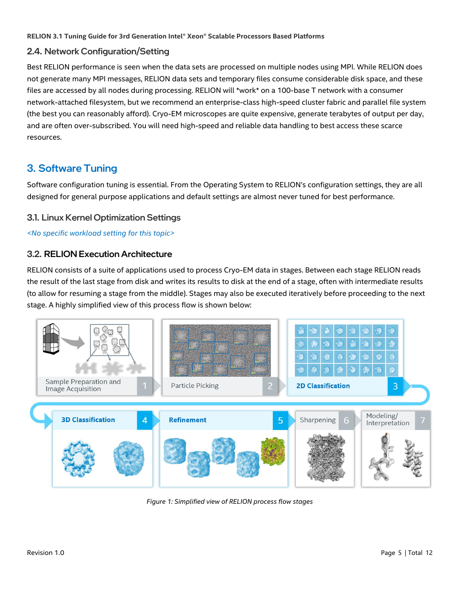#### <span id="page-4-0"></span>2.4. Network Configuration/Setting

Best RELION performance is seen when the data sets are processed on multiple nodes using MPI. While RELION does not generate many MPI messages, RELION data sets and temporary files consume considerable disk space, and these files are accessed by all nodes during processing. RELION will \*work\* on a 100-base T network with a consumer network-attached filesystem, but we recommend an enterprise-class high-speed cluster fabric and parallel file system (the best you can reasonably afford). Cryo-EM microscopes are quite expensive, generate terabytes of output per day, and are often over-subscribed. You will need high-speed and reliable data handling to best access these scarce resources.

# <span id="page-4-1"></span>3. Software Tuning

Software configuration tuning is essential. From the Operating System to RELION's configuration settings, they are all designed for general purpose applications and default settings are almost never tuned for best performance.

#### <span id="page-4-2"></span>3.1. Linux Kernel Optimization Settings

#### *<No specific workload setting for this topic>*

#### <span id="page-4-3"></span>3.2. RELION Execution Architecture

RELION consists of a suite of applications used to process Cryo-EM data in stages. Between each stage RELION reads the result of the last stage from disk and writes its results to disk at the end of a stage, often with intermediate results (to allow for resuming a stage from the middle). Stages may also be executed iteratively before proceeding to the next stage. A highly simplified view of this process flow is shown below:



*Figure 1: Simplified view of RELION process flow stages*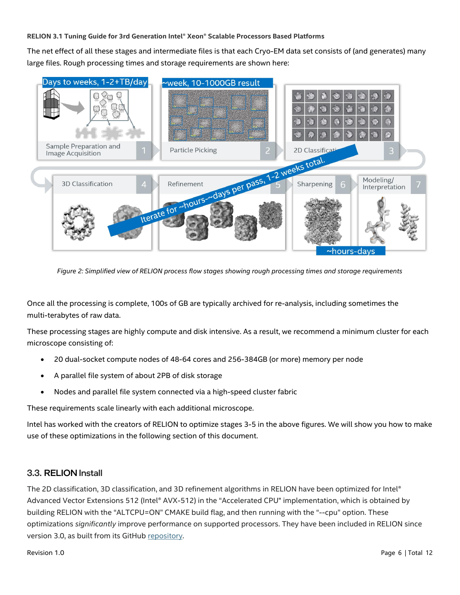The net effect of all these stages and intermediate files is that each Cryo-EM data set consists of (and generates) many large files. Rough processing times and storage requirements are shown here:



*Figure 2: Simplified view of RELION process flow stages showing rough processing times and storage requirements*

Once all the processing is complete, 100s of GB are typically archived for re-analysis, including sometimes the multi-terabytes of raw data.

These processing stages are highly compute and disk intensive. As a result, we recommend a minimum cluster for each microscope consisting of:

- 20 dual-socket compute nodes of 48-64 cores and 256-384GB (or more) memory per node
- A parallel file system of about 2PB of disk storage
- Nodes and parallel file system connected via a high-speed cluster fabric

These requirements scale linearly with each additional microscope.

Intel has worked with the creators of RELION to optimize stages 3-5 in the above figures. We will show you how to make use of these optimizations in the following section of this document.

#### <span id="page-5-0"></span>3.3. RELION Install

The 2D classification, 3D classification, and 3D refinement algorithms in RELION have been optimized for Intel® Advanced Vector Extensions 512 (Intel® AVX-512) in the "Accelerated CPU" implementation, which is obtained by building RELION with the "ALTCPU=ON" CMAKE build flag, and then running with the "--cpu" option. These optimizations *significantly* improve performance on supported processors. They have been included in RELION since version 3.0, as built from its GitHub [repository.](https://github.com/3dem/relion)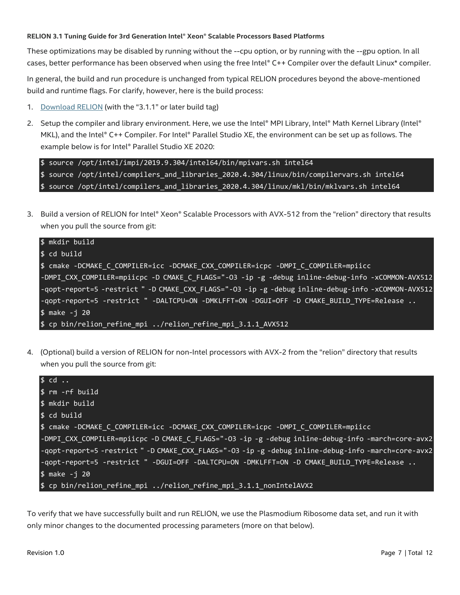These optimizations may be disabled by running without the --cpu option, or by running with the --gpu option. In all cases, better performance has been observed when using the free Intel® C++ Compiler over the default Linux\* compiler.

In general, the build and run procedure is unchanged from typical RELION procedures beyond the above-mentioned build and runtime flags. For clarify, however, here is the build process:

- 1. [Download RELION](https://www3.mrc-lmb.cam.ac.uk/relion/index.php/Download_%26_install) (with the "3.1.1" or later build tag)
- 2. Setup the compiler and library environment. Here, we use the Intel® MPI Library, Intel® Math Kernel Library (Intel® MKL), and the Intel® C++ Compiler. For Intel® Parallel Studio XE, the environment can be set up as follows. The example below is for Intel® Parallel Studio XE 2020:

```
$ source /opt/intel/impi/2019.9.304/intel64/bin/mpivars.sh intel64
$ source /opt/intel/compilers_and_libraries_2020.4.304/linux/bin/compilervars.sh intel64
$ source /opt/intel/compilers_and_libraries_2020.4.304/linux/mkl/bin/mklvars.sh intel64
```
3. Build a version of RELION for Intel® Xeon® Scalable Processors with AVX-512 from the "relion" directory that results when you pull the source from git:

```
$ mkdir build
$ cd build
$ cmake -DCMAKE_C_COMPILER=icc -DCMAKE_CXX_COMPILER=icpc -DMPI_C_COMPILER=mpiicc 
-DMPI_CXX_COMPILER=mpiicpc -D CMAKE_C_FLAGS="-O3 -ip -g -debug inline-debug-info -xCOMMON-AVX512 
-qopt-report=5 -restrict " -D CMAKE_CXX_FLAGS="-O3 -ip -g -debug inline-debug-info -xCOMMON-AVX512 
-qopt-report=5 -restrict " -DALTCPU=ON -DMKLFFT=ON -DGUI=OFF -D CMAKE_BUILD_TYPE=Release ..
$ make -j 20 
$ cp bin/relion_refine_mpi ../relion_refine_mpi_3.1.1_AVX512
```
4. (Optional) build a version of RELION for non-Intel processors with AVX-2 from the "relion" directory that results when you pull the source from git:



To verify that we have successfully built and run RELION, we use the Plasmodium Ribosome data set, and run it with only minor changes to the documented processing parameters (more on that below).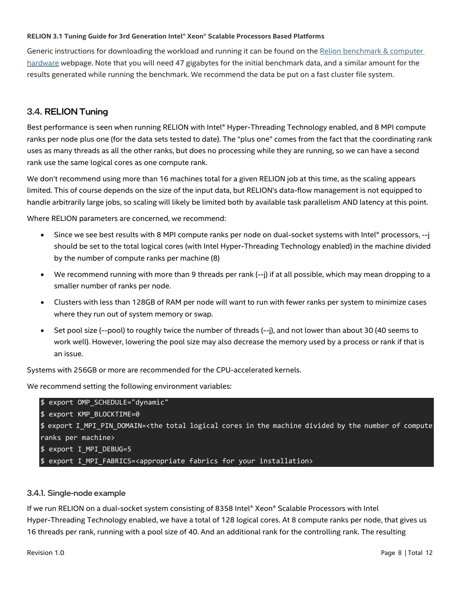Generic instructions for downloading the workload and running it can be found on the [Relion benchmark & computer](https://github.com/3dem/relion)  [hardware](https://github.com/3dem/relion) webpage. Note that you will need 47 gigabytes for the initial benchmark data, and a similar amount for the results generated while running the benchmark. We recommend the data be put on a fast cluster file system.

#### <span id="page-7-0"></span>3.4. RELION Tuning

Best performance is seen when running RELION with Intel® Hyper-Threading Technology enabled, and 8 MPI compute ranks per node plus one (for the data sets tested to date). The "plus one" comes from the fact that the coordinating rank uses as many threads as all the other ranks, but does no processing while they are running, so we can have a second rank use the same logical cores as one compute rank.

We don't recommend using more than 16 machines total for a given RELION job at this time, as the scaling appears limited. This of course depends on the size of the input data, but RELION's data-flow management is not equipped to handle arbitrarily large jobs, so scaling will likely be limited both by available task parallelism AND latency at this point.

Where RELION parameters are concerned, we recommend:

- Since we see best results with 8 MPI compute ranks per node on dual-socket systems with Intel® processors, --j should be set to the total logical cores (with Intel Hyper-Threading Technology enabled) in the machine divided by the number of compute ranks per machine (8)
- We recommend running with more than 9 threads per rank (--j) if at all possible, which may mean dropping to a smaller number of ranks per node.
- Clusters with less than 128GB of RAM per node will want to run with fewer ranks per system to minimize cases where they run out of system memory or swap.
- Set pool size (--pool) to roughly twice the number of threads (--j), and not lower than about 30 (40 seems to work well). However, lowering the pool size may also decrease the memory used by a process or rank if that is an issue.

Systems with 256GB or more are recommended for the CPU-accelerated kernels.

We recommend setting the following environment variables:

```
$ export OMP_SCHEDULE="dynamic"
$ export KMP_BLOCKTIME=0
$ export I_MPI_PIN_DOMAIN=<the total logical cores in the machine divided by the number of compute 
ranks per machine>
$ export I_MPI_DEBUG=5
$ export I_MPI_FABRICS=<appropriate fabrics for your installation>
```
#### 3.4.1. Single-node example

If we run RELION on a dual-socket system consisting of 8358 Intel® Xeon® Scalable Processors with Intel Hyper-Threading Technology enabled, we have a total of 128 logical cores. At 8 compute ranks per node, that gives us 16 threads per rank, running with a pool size of 40. And an additional rank for the controlling rank. The resulting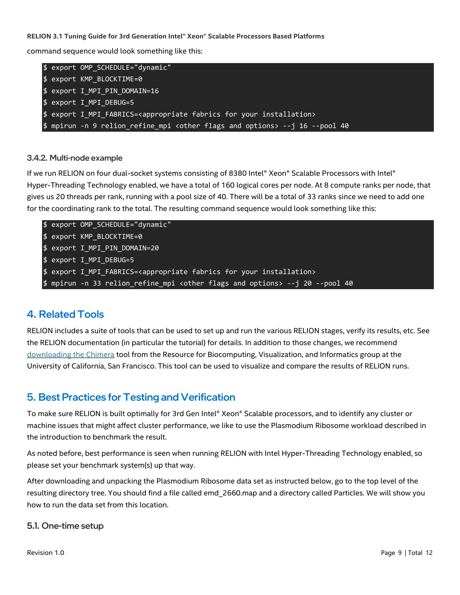command sequence would look something like this:

|  | \$ export OMP SCHEDULE="dynamic"                                                               |
|--|------------------------------------------------------------------------------------------------|
|  | \$ export KMP BLOCKTIME=0                                                                      |
|  | \$ export I_MPI_PIN_DOMAIN=16                                                                  |
|  | \$ export I MPI DEBUG=5                                                                        |
|  | \$ export I MPI FABRICS= <appropriate fabrics="" for="" installation="" your=""></appropriate> |
|  | \$ mpirun -n 9 relion_refine_mpi <other and="" flags="" options=""> --j 16 --pool 40</other>   |

#### 3.4.2. Multi-node example

If we run RELION on four dual-socket systems consisting of 8380 Intel® Xeon® Scalable Processors with Intel® Hyper-Threading Technology enabled, we have a total of 160 logical cores per node. At 8 compute ranks per node, that gives us 20 threads per rank, running with a pool size of 40. There will be a total of 33 ranks since we need to add one for the coordinating rank to the total. The resulting command sequence would look something like this:

| \$ export OMP SCHEDULE="dynamic"                                                               |
|------------------------------------------------------------------------------------------------|
| \$ export KMP BLOCKTIME=0                                                                      |
| $$$ export I MPI PIN DOMAIN=20                                                                 |
| \$ export I MPI DEBUG=5                                                                        |
| \$ export I_MPI_FABRICS= <appropriate fabrics="" for="" installation="" your=""></appropriate> |
| \$ mpirun -n 33 relion refine mpi <other and="" flags="" options=""> --j 20 --pool 40</other>  |

## <span id="page-8-0"></span>4. Related Tools

RELION includes a suite of tools that can be used to set up and run the various RELION stages, verify its results, etc. See the RELION documentation (in particular the tutorial) for details. In addition to those changes, we recommend [downloading the Chimera](https://www.cgl.ucsf.edu/chimera/download.html) tool from the Resource for Biocomputing, Visualization, and Informatics group at the University of California, San Francisco. This tool can be used to visualize and compare the results of RELION runs.

## <span id="page-8-1"></span>5. Best Practices for Testing and Verification

To make sure RELION is built optimally for 3rd Gen Intel® Xeon® Scalable processors, and to identify any cluster or machine issues that might affect cluster performance, we like to use the Plasmodium Ribosome workload described in the introduction to benchmark the result.

As noted before, best performance is seen when running RELION with Intel Hyper-Threading Technology enabled, so please set your benchmark system(s) up that way.

After downloading and unpacking the Plasmodium Ribosome data set as instructed below, go to the top level of the resulting directory tree. You should find a file called emd 2660.map and a directory called Particles. We will show you how to run the data set from this location.

#### <span id="page-8-2"></span>5.1. One-time setup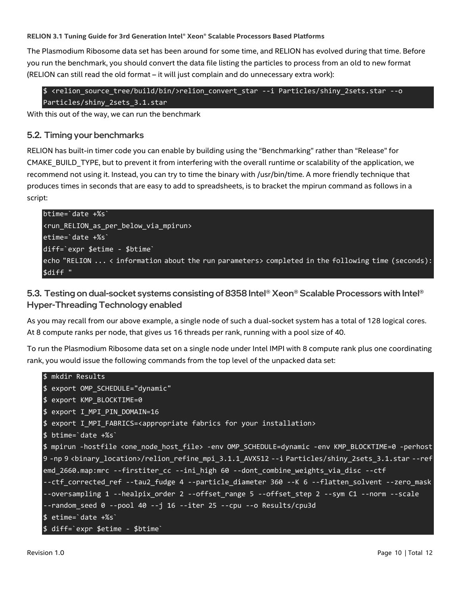The Plasmodium Ribosome data set has been around for some time, and RELION has evolved during that time. Before you run the benchmark, you should convert the data file listing the particles to process from an old to new format (RELION can still read the old format – it will just complain and do unnecessary extra work):

\$ <relion\_source\_tree/build/bin/>relion\_convert\_star --i Particles/shiny\_2sets.star --o Particles/shiny 2sets 3.1.star

With this out of the way, we can run the benchmark

#### <span id="page-9-0"></span>5.2. Timing your benchmarks

RELION has built-in timer code you can enable by building using the "Benchmarking" rather than "Release" for CMAKE\_BUILD\_TYPE, but to prevent it from interfering with the overall runtime or scalability of the application, we recommend not using it. Instead, you can try to time the binary with /usr/bin/time. A more friendly technique that produces times in seconds that are easy to add to spreadsheets, is to bracket the mpirun command as follows in a script:

```
btime=`date +%s`
<run_RELION_as_per_below_via_mpirun>
etime=`date +%s`
diff=`expr $etime - $btime`
echo "RELION ... < information about the run parameters> completed in the following time (seconds):
$diff "
```
<span id="page-9-1"></span>5.3. Testing on dual-socket systems consisting of 8358 Intel<sup>®</sup> Xeon® Scalable Processors with Intel<sup>®</sup> Hyper-Threading Technology enabled

As you may recall from our above example, a single node of such a dual-socket system has a total of 128 logical cores. At 8 compute ranks per node, that gives us 16 threads per rank, running with a pool size of 40.

To run the Plasmodium Ribosome data set on a single node under Intel IMPI with 8 compute rank plus one coordinating rank, you would issue the following commands from the top level of the unpacked data set:

```
$ mkdir Results
$ export OMP_SCHEDULE="dynamic"
$ export KMP_BLOCKTIME=0
$ export I_MPI_PIN_DOMAIN=16
$ export I_MPI_FABRICS=<appropriate fabrics for your installation>
$ btime=`date +%s`
$ mpirun -hostfile <one_node_host_file> -env OMP_SCHEDULE=dynamic -env KMP_BLOCKTIME=0 -perhost 
9 -np 9 <binary_location>/relion_refine_mpi_3.1.1_AVX512 --i Particles/shiny_2sets_3.1.star --ref 
emd_2660.map:mrc --firstiter_cc --ini_high 60 --dont_combine_weights_via_disc --ctf 
--ctf_corrected_ref --tau2_fudge 4 --particle_diameter 360 --K 6 --flatten_solvent --zero_mask 
--oversampling 1 --healpix_order 2 --offset_range 5 --offset_step 2 --sym C1 --norm --scale 
--random_seed 0 --pool 40 --j 16 --iter 25 --cpu --o Results/cpu3d
$ etime=`date +%s`
$ diff=`expr $etime - $btime`
```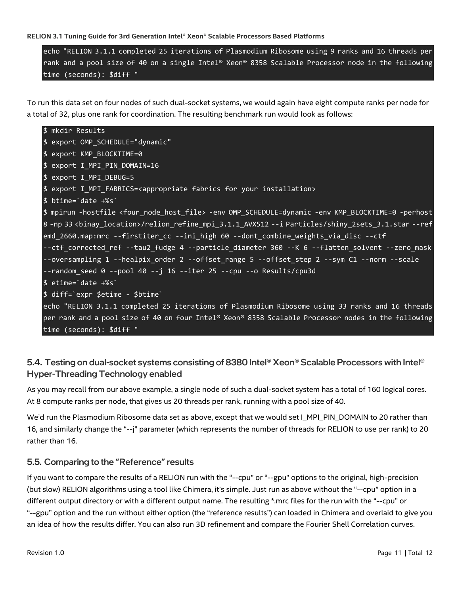echo "RELION 3.1.1 completed 25 iterations of Plasmodium Ribosome using 9 ranks and 16 threads per rank and a pool size of 40 on a single Intel® Xeon® 8358 Scalable Processor node in the following time (seconds): \$diff "

To run this data set on four nodes of such dual-socket systems, we would again have eight compute ranks per node for a total of 32, plus one rank for coordination. The resulting benchmark run would look as follows:

```
$ mkdir Results
$ export OMP_SCHEDULE="dynamic"
$ export KMP_BLOCKTIME=0
$ export I_MPI_PIN_DOMAIN=16
$ export I_MPI_DEBUG=5
$ export I_MPI_FABRICS=<appropriate fabrics for your installation>
$ btime=`date +%s`
$ mpirun -hostfile <four_node_host_file> -env OMP_SCHEDULE=dynamic -env KMP_BLOCKTIME=0 -perhost
8 -np 33 <binay location>/relion refine mpi 3.1.1 AVX512 --i Particles/shiny 2sets 3.1.star --ref
emd_2660.map:mrc --firstiter_cc --ini_high 60 --dont_combine_weights_via_disc --ctf 
--ctf_corrected_ref --tau2_fudge 4 --particle_diameter 360 --K 6 --flatten_solvent --zero_mask 
--oversampling 1 --healpix_order 2 --offset_range 5 --offset_step 2 --sym C1 --norm --scale 
--random_seed 0 --pool 40 --j 16 --iter 25 --cpu --o Results/cpu3d
$ etime=`date +%s`
$ diff=`expr $etime - $btime`
echo "RELION 3.1.1 completed 25 iterations of Plasmodium Ribosome using 33 ranks and 16 threads 
per rank and a pool size of 40 on four Intel® Xeon® 8358 Scalable Processor nodes in the following 
time (seconds): $diff "
```
#### <span id="page-10-0"></span>5.4. Testing on dual-socket systems consisting of 8380 Intel® Xeon® Scalable Processors with Intel® Hyper-Threading Technology enabled

As you may recall from our above example, a single node of such a dual-socket system has a total of 160 logical cores. At 8 compute ranks per node, that gives us 20 threads per rank, running with a pool size of 40.

We'd run the Plasmodium Ribosome data set as above, except that we would set I\_MPI\_PIN\_DOMAIN to 20 rather than 16, and similarly change the "--j" parameter (which represents the number of threads for RELION to use per rank) to 20 rather than 16.

#### <span id="page-10-1"></span>5.5. Comparing to the "Reference" results

If you want to compare the results of a RELION run with the "--cpu" or "--gpu" options to the original, high-precision (but slow) RELION algorithms using a tool like Chimera, it's simple. Just run as above without the "--cpu" option in a different output directory or with a different output name. The resulting \*.mrc files for the run with the "--cpu" or "--gpu" option and the run without either option (the "reference results") can loaded in Chimera and overlaid to give you an idea of how the results differ. You can also run 3D refinement and compare the Fourier Shell Correlation curves.